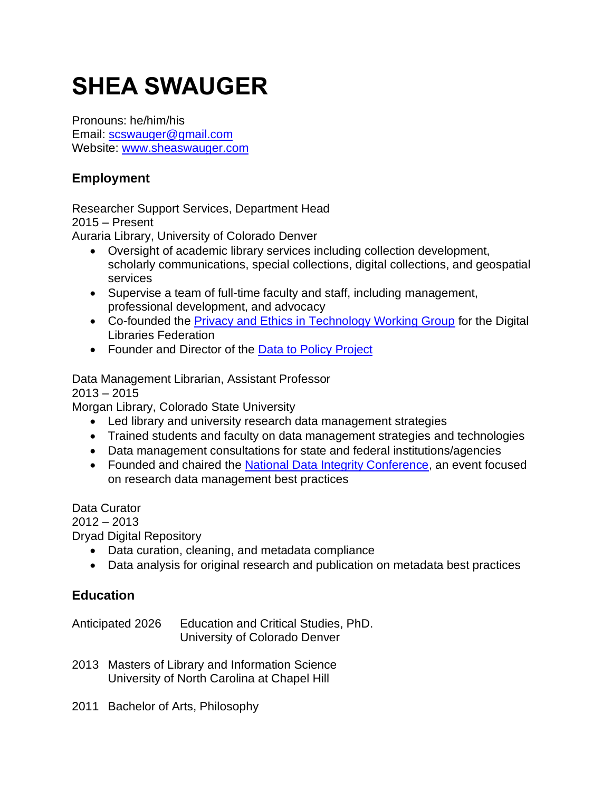# **SHEA SWAUGER**

Pronouns: he/him/his Email: [scswauger@gmail.com](mailto:scswauger@gmail.com) Website: [www.sheaswauger.com](http://www.sheaswauger.com/)

## **Employment**

Researcher Support Services, Department Head 2015 – Present

Auraria Library, University of Colorado Denver

- Oversight of academic library services including collection development, scholarly communications, special collections, digital collections, and geospatial services
- Supervise a team of full-time faculty and staff, including management, professional development, and advocacy
- Co-founded the [Privacy and Ethics in Technology Working Group](https://osf.io/bdyvq/) for the Digital Libraries Federation
- Founder and Director of the [Data to Policy Project](https://library.auraria.edu/d2pproject)

Data Management Librarian, Assistant Professor

 $2013 - 2015$ 

Morgan Library, Colorado State University

- Led library and university research data management strategies
- Trained students and faculty on data management strategies and technologies
- Data management consultations for state and federal institutions/agencies
- Founded and chaired the [National Data Integrity Conference,](https://mountainscholar.org/handle/10217/172213) an event focused on research data management best practices

Data Curator 2012 – 2013 Dryad Digital Repository

- Data curation, cleaning, and metadata compliance
- Data analysis for original research and publication on metadata best practices

## **Education**

Anticipated 2026 Education and Critical Studies, PhD. University of Colorado Denver

- 2013 Masters of Library and Information Science University of North Carolina at Chapel Hill
- 2011 Bachelor of Arts, Philosophy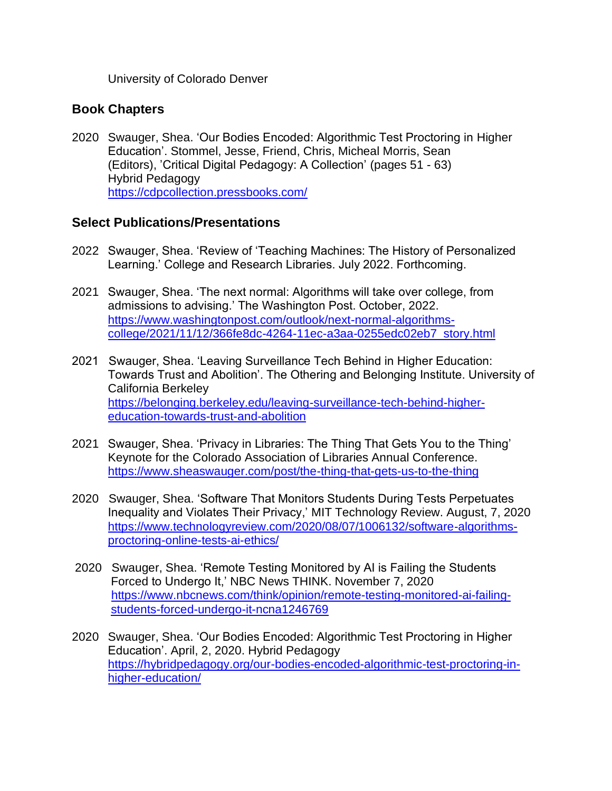University of Colorado Denver

#### **Book Chapters**

2020 Swauger, Shea. 'Our Bodies Encoded: Algorithmic Test Proctoring in Higher Education'. Stommel, Jesse, Friend, Chris, Micheal Morris, Sean (Editors), 'Critical Digital Pedagogy: A Collection' (pages 51 - 63) Hybrid Pedagogy <https://cdpcollection.pressbooks.com/>

#### **Select Publications/Presentations**

- 2022 Swauger, Shea. 'Review of 'Teaching Machines: The History of Personalized Learning.' College and Research Libraries. July 2022. Forthcoming.
- 2021 Swauger, Shea. 'The next normal: Algorithms will take over college, from admissions to advising.' The Washington Post. October, 2022. [https://www.washingtonpost.com/outlook/next-normal-algorithms](https://www.washingtonpost.com/outlook/next-normal-algorithms-college/2021/11/12/366fe8dc-4264-11ec-a3aa-0255edc02eb7_story.html)[college/2021/11/12/366fe8dc-4264-11ec-a3aa-0255edc02eb7\\_story.html](https://www.washingtonpost.com/outlook/next-normal-algorithms-college/2021/11/12/366fe8dc-4264-11ec-a3aa-0255edc02eb7_story.html)
- 2021 Swauger, Shea. 'Leaving Surveillance Tech Behind in Higher Education: Towards Trust and Abolition'. The Othering and Belonging Institute. University of California Berkeley [https://belonging.berkeley.edu/leaving-surveillance-tech-behind-higher](https://belonging.berkeley.edu/leaving-surveillance-tech-behind-higher-education-towards-trust-and-abolition)[education-towards-trust-and-abolition](https://belonging.berkeley.edu/leaving-surveillance-tech-behind-higher-education-towards-trust-and-abolition)
- 2021 Swauger, Shea. 'Privacy in Libraries: The Thing That Gets You to the Thing' Keynote for the Colorado Association of Libraries Annual Conference. <https://www.sheaswauger.com/post/the-thing-that-gets-us-to-the-thing>
- 2020 Swauger, Shea. 'Software That Monitors Students During Tests Perpetuates Inequality and Violates Their Privacy,' MIT Technology Review. August, 7, 2020 [https://www.technologyreview.com/2020/08/07/1006132/software-algorithms](https://www.technologyreview.com/2020/08/07/1006132/software-algorithms-proctoring-online-tests-ai-ethics/)[proctoring-online-tests-ai-ethics/](https://www.technologyreview.com/2020/08/07/1006132/software-algorithms-proctoring-online-tests-ai-ethics/)
- 2020 Swauger, Shea. 'Remote Testing Monitored by AI is Failing the Students Forced to Undergo It,' NBC News THINK. November 7, 2020 [https://www.nbcnews.com/think/opinion/remote-testing-monitored-ai-failing](https://www.nbcnews.com/think/opinion/remote-testing-monitored-ai-failing-students-forced-undergo-it-ncna1246769)[students-forced-undergo-it-ncna1246769](https://www.nbcnews.com/think/opinion/remote-testing-monitored-ai-failing-students-forced-undergo-it-ncna1246769)
- 2020 Swauger, Shea. 'Our Bodies Encoded: Algorithmic Test Proctoring in Higher Education'. April, 2, 2020. Hybrid Pedagogy [https://hybridpedagogy.org/our-bodies-encoded-algorithmic-test-proctoring-in](https://hybridpedagogy.org/our-bodies-encoded-algorithmic-test-proctoring-in-higher-education/)[higher-education/](https://hybridpedagogy.org/our-bodies-encoded-algorithmic-test-proctoring-in-higher-education/)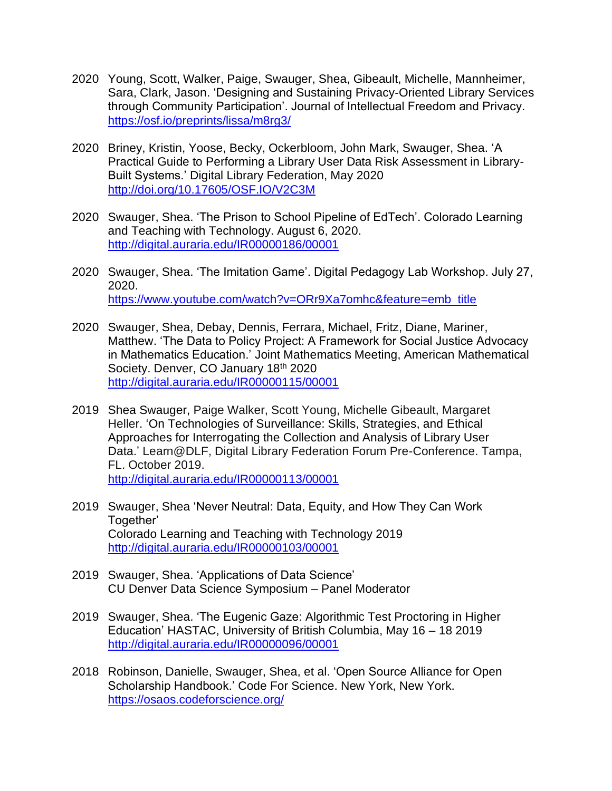- 2020 Young, Scott, Walker, Paige, Swauger, Shea, Gibeault, Michelle, Mannheimer, Sara, Clark, Jason. 'Designing and Sustaining Privacy-Oriented Library Services through Community Participation'. Journal of Intellectual Freedom and Privacy. <https://osf.io/preprints/lissa/m8rg3/>
- 2020 Briney, Kristin, Yoose, Becky, Ockerbloom, John Mark, Swauger, Shea. 'A Practical Guide to Performing a Library User Data Risk Assessment in Library-Built Systems.' Digital Library Federation, May 2020 <http://doi.org/10.17605/OSF.IO/V2C3M>
- 2020 Swauger, Shea. 'The Prison to School Pipeline of EdTech'. Colorado Learning and Teaching with Technology. August 6, 2020. <http://digital.auraria.edu/IR00000186/00001>
- 2020 Swauger, Shea. 'The Imitation Game'. Digital Pedagogy Lab Workshop. July 27, 2020. [https://www.youtube.com/watch?v=ORr9Xa7omhc&feature=emb\\_title](https://www.youtube.com/watch?v=ORr9Xa7omhc&feature=emb_title)
- 2020 Swauger, Shea, Debay, Dennis, Ferrara, Michael, Fritz, Diane, Mariner, Matthew. 'The Data to Policy Project: A Framework for Social Justice Advocacy in Mathematics Education.' Joint Mathematics Meeting, American Mathematical Society. Denver, CO January 18<sup>th</sup> 2020 <http://digital.auraria.edu/IR00000115/00001>
- 2019 Shea Swauger, Paige Walker, Scott Young, Michelle Gibeault, Margaret Heller. 'On Technologies of Surveillance: Skills, Strategies, and Ethical Approaches for Interrogating the Collection and Analysis of Library User Data.' Learn@DLF, Digital Library Federation Forum Pre-Conference. Tampa, FL. October 2019. <http://digital.auraria.edu/IR00000113/00001>
- 2019 Swauger, Shea 'Never Neutral: Data, Equity, and How They Can Work Together' Colorado Learning and Teaching with Technology 2019 <http://digital.auraria.edu/IR00000103/00001>
- 2019 Swauger, Shea. 'Applications of Data Science' CU Denver Data Science Symposium – Panel Moderator
- 2019 Swauger, Shea. 'The Eugenic Gaze: Algorithmic Test Proctoring in Higher Education' HASTAC, University of British Columbia, May 16 – 18 2019 <http://digital.auraria.edu/IR00000096/00001>
- 2018 Robinson, Danielle, Swauger, Shea, et al. 'Open Source Alliance for Open Scholarship Handbook.' Code For Science. New York, New York. <https://osaos.codeforscience.org/>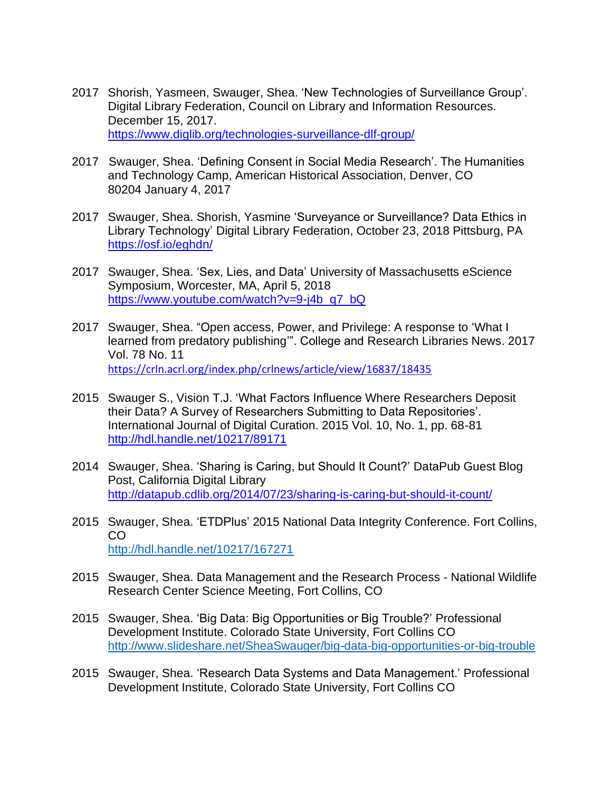- 2017 Shorish, Yasmeen, Swauger, Shea. 'New Technologies of Surveillance Group'. Digital Library Federation, Council on Library and Information Resources. December 15, 2017. <https://www.diglib.org/technologies-surveillance-dlf-group/>
- 2017 Swauger, Shea. 'Defining Consent in Social Media Research'. The Humanities and Technology Camp, American Historical Association, Denver, CO 80204 January 4, 2017
- 2017 Swauger, Shea. Shorish, Yasmine 'Surveyance or Surveillance? Data Ethics in Library Technology' Digital Library Federation, October 23, 2018 Pittsburg, PA <https://osf.io/eghdn/>
- 2017 Swauger, Shea. 'Sex, Lies, and Data' University of Massachusetts eScience Symposium, Worcester, MA, April 5, 2018 [https://www.youtube.com/watch?v=9-j4b\\_q7\\_bQ](https://www.youtube.com/watch?v=9-j4b_q7_bQ)
- 2017 Swauger, Shea. "Open access, Power, and Privilege: A response to 'What I learned from predatory publishing'". College and Research Libraries News. 2017 Vol. 78 No. 11 <https://crln.acrl.org/index.php/crlnews/article/view/16837/18435>

2015 Swauger S., Vision T.J. 'What Factors Influence Where Researchers Deposit

- their Data? A Survey of Researchers Submitting to Data Repositories'. International Journal of Digital Curation. 2015 Vol. 10, No. 1, pp. 68-81 <http://hdl.handle.net/10217/89171>
- 2014 Swauger, Shea. 'Sharing is Caring, but Should It Count?' DataPub Guest Blog Post, California Digital Library <http://datapub.cdlib.org/2014/07/23/sharing-is-caring-but-should-it-count/>
- 2015 Swauger, Shea. 'ETDPlus' 2015 National Data Integrity Conference. Fort Collins, CO <http://hdl.handle.net/10217/167271>
- 2015 Swauger, Shea. Data Management and the Research Process National Wildlife Research Center Science Meeting, Fort Collins, CO
- 2015 Swauger, Shea. 'Big Data: Big Opportunities or Big Trouble?' Professional Development Institute. Colorado State University, Fort Collins CO <http://www.slideshare.net/SheaSwauger/big-data-big-opportunities-or-big-trouble>
- 2015 Swauger, Shea. 'Research Data Systems and Data Management.' Professional Development Institute, Colorado State University, Fort Collins CO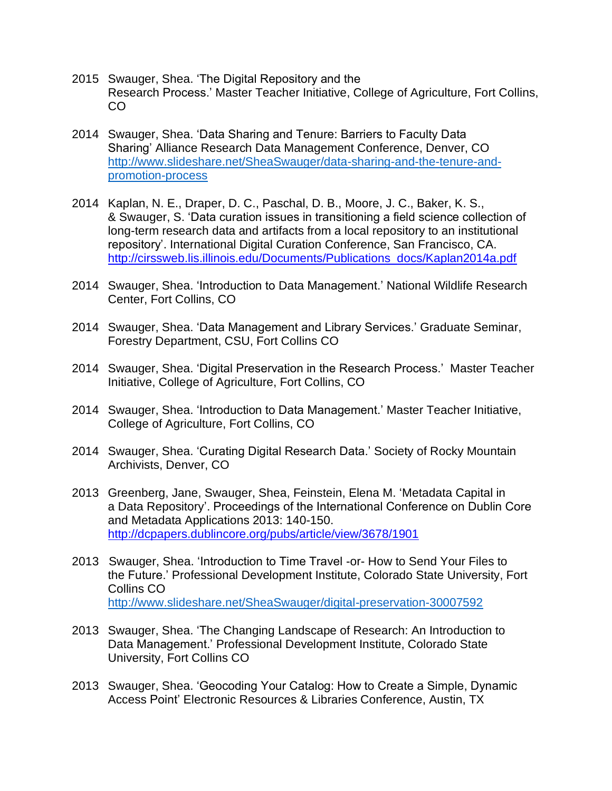- 2015 Swauger, Shea. 'The Digital Repository and the Research Process.' Master Teacher Initiative, College of Agriculture, Fort Collins, CO
- 2014 Swauger, Shea. 'Data Sharing and Tenure: Barriers to Faculty Data Sharing' Alliance Research Data Management Conference, Denver, CO [http://www.slideshare.net/SheaSwauger/data-sharing-and-the-tenure-and](http://www.slideshare.net/SheaSwauger/data-sharing-and-the-tenure-and-promotion-process)[promotion-process](http://www.slideshare.net/SheaSwauger/data-sharing-and-the-tenure-and-promotion-process)
- 2014 Kaplan, N. E., Draper, D. C., Paschal, D. B., Moore, J. C., Baker, K. S., & Swauger, S. 'Data curation issues in transitioning a field science collection of long-term research data and artifacts from a local repository to an institutional repository'. International Digital Curation Conference, San Francisco, CA. [http://cirssweb.lis.illinois.edu/Documents/Publications\\_docs/Kaplan2014a.pdf](http://cirssweb.lis.illinois.edu/Documents/Publications_docs/Kaplan2014a.pdf)
- 2014 Swauger, Shea. 'Introduction to Data Management.' National Wildlife Research Center, Fort Collins, CO
- 2014 Swauger, Shea. 'Data Management and Library Services.' Graduate Seminar, Forestry Department, CSU, Fort Collins CO
- 2014 Swauger, Shea. 'Digital Preservation in the Research Process.' Master Teacher Initiative, College of Agriculture, Fort Collins, CO
- 2014 Swauger, Shea. 'Introduction to Data Management.' Master Teacher Initiative, College of Agriculture, Fort Collins, CO
- 2014 Swauger, Shea. 'Curating Digital Research Data.' Society of Rocky Mountain Archivists, Denver, CO
- 2013 Greenberg, Jane, Swauger, Shea, Feinstein, Elena M. 'Metadata Capital in a Data Repository'. Proceedings of the International Conference on Dublin Core and Metadata Applications 2013: 140-150. <http://dcpapers.dublincore.org/pubs/article/view/3678/1901>
- 2013 Swauger, Shea. 'Introduction to Time Travel -or- How to Send Your Files to the Future.' Professional Development Institute, Colorado State University, Fort Collins CO <http://www.slideshare.net/SheaSwauger/digital-preservation-30007592>
- 2013 Swauger, Shea. 'The Changing Landscape of Research: An Introduction to Data Management.' Professional Development Institute, Colorado State University, Fort Collins CO
- 2013 Swauger, Shea. 'Geocoding Your Catalog: How to Create a Simple, Dynamic Access Point' Electronic Resources & Libraries Conference, Austin, TX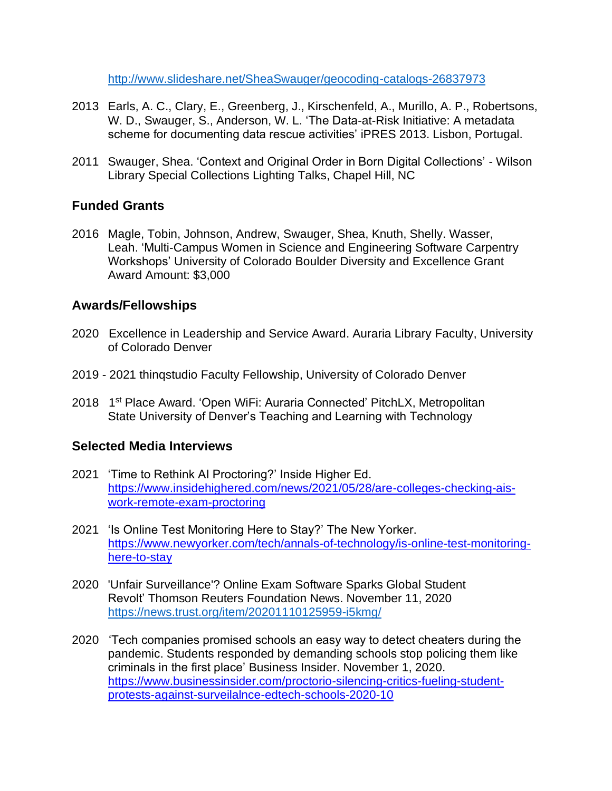<http://www.slideshare.net/SheaSwauger/geocoding-catalogs-26837973>

- 2013 Earls, A. C., Clary, E., Greenberg, J., Kirschenfeld, A., Murillo, A. P., Robertsons, W. D., Swauger, S., Anderson, W. L. 'The Data-at-Risk Initiative: A metadata scheme for documenting data rescue activities' iPRES 2013. Lisbon, Portugal.
- 2011 Swauger, Shea. 'Context and Original Order in Born Digital Collections' Wilson Library Special Collections Lighting Talks, Chapel Hill, NC

#### **Funded Grants**

2016 Magle, Tobin, Johnson, Andrew, Swauger, Shea, Knuth, Shelly. Wasser, Leah. 'Multi-Campus Women in Science and Engineering Software Carpentry Workshops' University of Colorado Boulder Diversity and Excellence Grant Award Amount: \$3,000

#### **Awards/Fellowships**

- 2020 Excellence in Leadership and Service Award. Auraria Library Faculty, University of Colorado Denver
- 2019 2021 thinqstudio Faculty Fellowship, University of Colorado Denver
- 2018 1<sup>st</sup> Place Award. 'Open WiFi: Auraria Connected' PitchLX, Metropolitan State University of Denver's Teaching and Learning with Technology

#### **Selected Media Interviews**

- 2021 'Time to Rethink AI Proctoring?' Inside Higher Ed. [https://www.insidehighered.com/news/2021/05/28/are-colleges-checking-ais](https://www.insidehighered.com/news/2021/05/28/are-colleges-checking-ais-work-remote-exam-proctoring)[work-remote-exam-proctoring](https://www.insidehighered.com/news/2021/05/28/are-colleges-checking-ais-work-remote-exam-proctoring)
- 2021 'Is Online Test Monitoring Here to Stay?' The New Yorker. [https://www.newyorker.com/tech/annals-of-technology/is-online-test-monitoring](https://www.newyorker.com/tech/annals-of-technology/is-online-test-monitoring-here-to-stay)[here-to-stay](https://www.newyorker.com/tech/annals-of-technology/is-online-test-monitoring-here-to-stay)
- 2020 'Unfair Surveillance'? Online Exam Software Sparks Global Student Revolt' Thomson Reuters Foundation News. November 11, 2020 <https://news.trust.org/item/20201110125959-i5kmg/>
- 2020 'Tech companies promised schools an easy way to detect cheaters during the pandemic. Students responded by demanding schools stop policing them like criminals in the first place' Business Insider. November 1, 2020. [https://www.businessinsider.com/proctorio-silencing-critics-fueling-student](https://www.businessinsider.com/proctorio-silencing-critics-fueling-student-protests-against-surveilalnce-edtech-schools-2020-10)[protests-against-surveilalnce-edtech-schools-2020-10](https://www.businessinsider.com/proctorio-silencing-critics-fueling-student-protests-against-surveilalnce-edtech-schools-2020-10)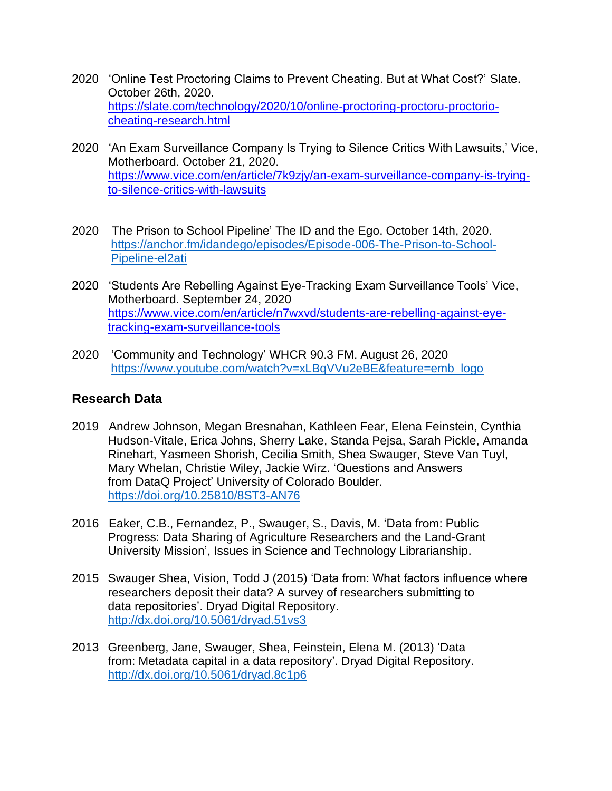- 2020 'Online Test Proctoring Claims to Prevent Cheating. But at What Cost?' Slate. October 26th, 2020. [https://slate.com/technology/2020/10/online-proctoring-proctoru-proctorio](https://slate.com/technology/2020/10/online-proctoring-proctoru-proctorio-cheating-research.html)[cheating-research.html](https://slate.com/technology/2020/10/online-proctoring-proctoru-proctorio-cheating-research.html)
- 2020 'An Exam Surveillance Company Is Trying to Silence Critics With Lawsuits,' Vice, Motherboard. October 21, 2020. [https://www.vice.com/en/article/7k9zjy/an-exam-surveillance-company-is-trying](https://www.vice.com/en/article/7k9zjy/an-exam-surveillance-company-is-trying-to-silence-critics-with-lawsuits)[to-silence-critics-with-lawsuits](https://www.vice.com/en/article/7k9zjy/an-exam-surveillance-company-is-trying-to-silence-critics-with-lawsuits)
- 2020 The Prison to School Pipeline' The ID and the Ego. October 14th, 2020. [https://anchor.fm/idandego/episodes/Episode-006-The-Prison-to-School-](https://anchor.fm/idandego/episodes/Episode-006-The-Prison-to-School-Pipeline-el2ati)[Pipeline-el2ati](https://anchor.fm/idandego/episodes/Episode-006-The-Prison-to-School-Pipeline-el2ati)
- 2020 'Students Are Rebelling Against Eye-Tracking Exam Surveillance Tools' Vice, Motherboard. September 24, 2020 [https://www.vice.com/en/article/n7wxvd/students-are-rebelling-against-eye](https://www.vice.com/en/article/n7wxvd/students-are-rebelling-against-eye-tracking-exam-surveillance-tools)[tracking-exam-surveillance-tools](https://www.vice.com/en/article/n7wxvd/students-are-rebelling-against-eye-tracking-exam-surveillance-tools)
- 2020 'Community and Technology' WHCR 90.3 FM. August 26, 2020 [https://www.youtube.com/watch?v=xLBqVVu2eBE&feature=emb\\_logo](https://www.youtube.com/watch?v=xLBqVVu2eBE&feature=emb_logo)

#### **Research Data**

- 2019 Andrew Johnson, Megan Bresnahan, Kathleen Fear, Elena Feinstein, Cynthia Hudson-Vitale, Erica Johns, Sherry Lake, Standa Pejsa, Sarah Pickle, Amanda Rinehart, Yasmeen Shorish, Cecilia Smith, Shea Swauger, Steve Van Tuyl, Mary Whelan, Christie Wiley, Jackie Wirz. 'Questions and Answers from DataQ Project' University of Colorado Boulder. <https://doi.org/10.25810/8ST3-AN76>
- 2016 Eaker, C.B., Fernandez, P., Swauger, S., Davis, M. 'Data from: Public Progress: Data Sharing of Agriculture Researchers and the Land-Grant University Mission', Issues in Science and Technology Librarianship.
- 2015 Swauger Shea, Vision, Todd J (2015) 'Data from: What factors influence where researchers deposit their data? A survey of researchers submitting to data repositories'. Dryad Digital Repository. <http://dx.doi.org/10.5061/dryad.51vs3>
- 2013 Greenberg, Jane, Swauger, Shea, Feinstein, Elena M. (2013) 'Data from: Metadata capital in a data repository'. Dryad Digital Repository. <http://dx.doi.org/10.5061/dryad.8c1p6>